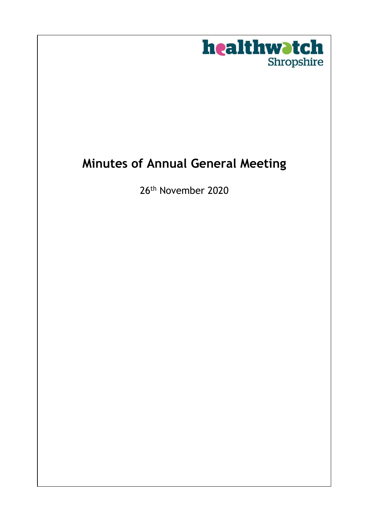

## **Minutes of Annual General Meeting**

26th November 2020